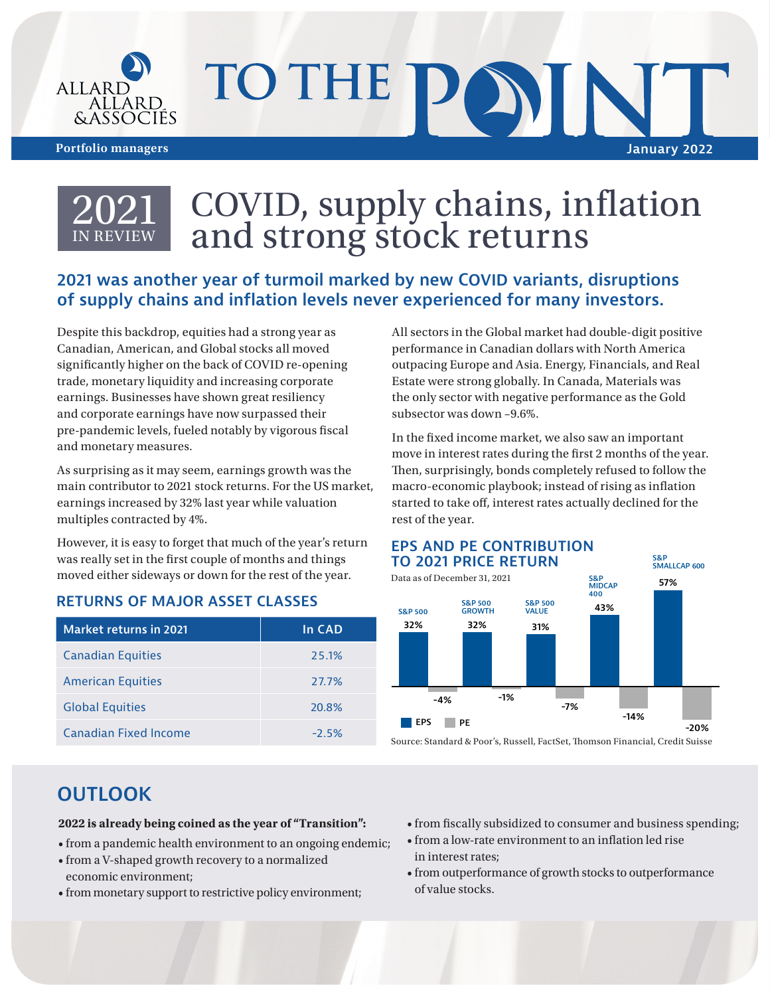

# TO THE P **Portfolio managers January 2022**



# COVID, supply chains, inflation and strong stock returns

### **2021 was another year of turmoil marked by new COVID variants, disruptions of supply chains and inflation levels never experienced for many investors.**

Despite this backdrop, equities had a strong year as Canadian, American, and Global stocks all moved significantly higher on the back of COVID re-opening trade, monetary liquidity and increasing corporate earnings. Businesses have shown great resiliency and corporate earnings have now surpassed their pre-pandemic levels, fueled notably by vigorous fiscal and monetary measures.

As surprising as it may seem, earnings growth was the main contributor to 2021 stock returns. For the US market, earnings increased by 32% last year while valuation multiples contracted by 4%.

However, it is easy to forget that much of the year's return was really set in the first couple of months and things moved either sideways or down for the rest of the year.

#### **RETURNS OF MAJOR ASSET CLASSES**

| <b>Market returns in 2021</b> | In CAD |
|-------------------------------|--------|
| <b>Canadian Equities</b>      | 25.1%  |
| <b>American Equities</b>      | 27.7%  |
| <b>Global Equities</b>        | 20.8%  |
| Canadian Fixed Income         | $-25%$ |

All sectors in the Global market had double-digit positive performance in Canadian dollars with North America outpacing Europe and Asia. Energy, Financials, and Real Estate were strong globally. In Canada, Materials was the only sector with negative performance as the Gold subsector was down –9.6%.

In the fixed income market, we also saw an important move in interest rates during the first 2 months of the year. Then, surprisingly, bonds completely refused to follow the macro-economic playbook; instead of rising as inflation started to take off, interest rates actually declined for the rest of the year.



## **OUTLOOK**

#### **2022 is already being coined as the year of "Transition":**

- from a pandemic health environment to an ongoing endemic;
- from a V-shaped growth recovery to a normalized economic environment;
- from monetary support to restrictive policy environment;
- from fiscally subsidized to consumer and business spending;
- from a low-rate environment to an inflation led rise in interest rates;
- from outperformance of growth stocks to outperformance of value stocks.